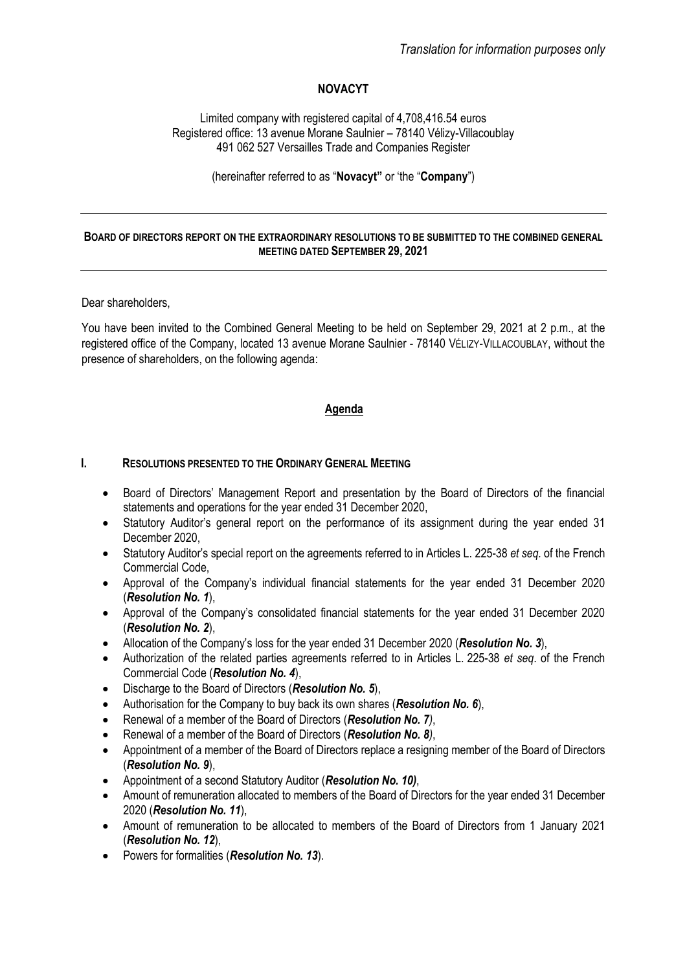# **NOVACYT**

Limited company with registered capital of 4,708,416.54 euros Registered office: 13 avenue Morane Saulnier – 78140 Vélizy-Villacoublay 491 062 527 Versailles Trade and Companies Register

(hereinafter referred to as "**Novacyt"** or 'the "**Company**")

## **BOARD OF DIRECTORS REPORT ON THE EXTRAORDINARY RESOLUTIONS TO BE SUBMITTED TO THE COMBINED GENERAL MEETING DATED SEPTEMBER 29, 2021**

## Dear shareholders,

You have been invited to the Combined General Meeting to be held on September 29, 2021 at 2 p.m., at the registered office of the Company, located 13 avenue Morane Saulnier - 78140 VÉLIZY-VILLACOUBLAY, without the presence of shareholders, on the following agenda:

# **Agenda**

## **I. RESOLUTIONS PRESENTED TO THE ORDINARY GENERAL MEETING**

- Board of Directors' Management Report and presentation by the Board of Directors of the financial statements and operations for the year ended 31 December 2020,
- Statutory Auditor's general report on the performance of its assignment during the year ended 31 December 2020,
- Statutory Auditor's special report on the agreements referred to in Articles L. 225-38 *et seq.* of the French Commercial Code,
- Approval of the Company's individual financial statements for the year ended 31 December 2020 (*Resolution No. 1*),
- Approval of the Company's consolidated financial statements for the year ended 31 December 2020 (*Resolution No. 2*),
- Allocation of the Company's loss for the year ended 31 December 2020 (*Resolution No. 3*),
- Authorization of the related parties agreements referred to in Articles L. 225-38 *et seq*. of the French Commercial Code (*Resolution No. 4*),
- Discharge to the Board of Directors (*Resolution No. 5*),
- Authorisation for the Company to buy back its own shares (*Resolution No. 6*),
- Renewal of a member of the Board of Directors (*Resolution No. 7)*,
- Renewal of a member of the Board of Directors (*Resolution No. 8)*,
- Appointment of a member of the Board of Directors replace a resigning member of the Board of Directors (*Resolution No. 9*),
- Appointment of a second Statutory Auditor (*Resolution No. 10)*,
- Amount of remuneration allocated to members of the Board of Directors for the year ended 31 December 2020 (*Resolution No. 11*),
- Amount of remuneration to be allocated to members of the Board of Directors from 1 January 2021 (*Resolution No. 12*),
- Powers for formalities (*Resolution No. 13*).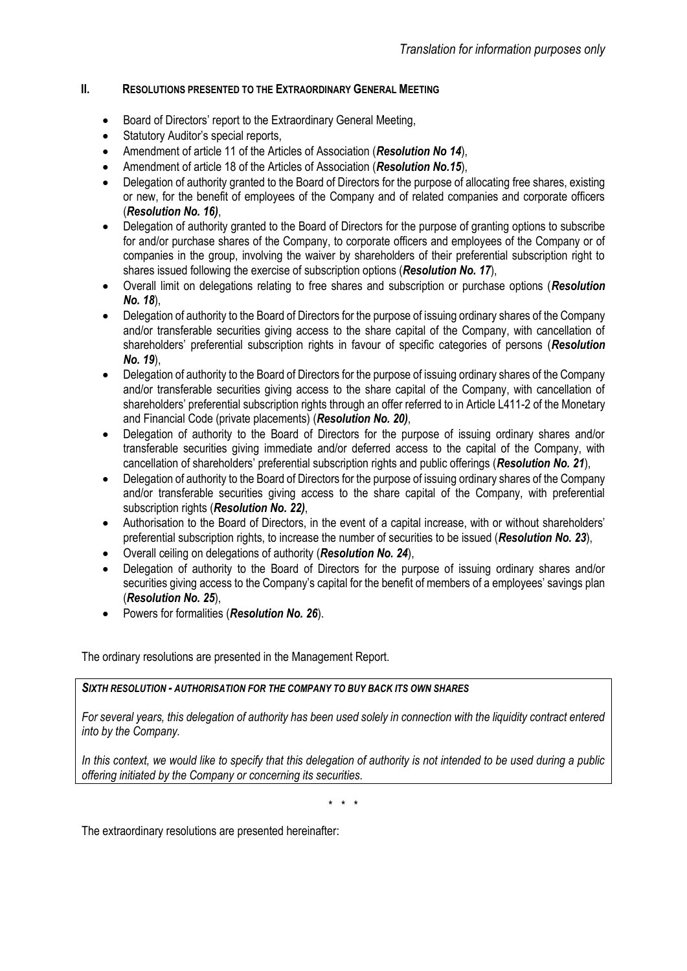# **II. RESOLUTIONS PRESENTED TO THE EXTRAORDINARY GENERAL MEETING**

- Board of Directors' report to the Extraordinary General Meeting,
- Statutory Auditor's special reports,
- Amendment of article 11 of the Articles of Association (*Resolution No 14*),
- Amendment of article 18 of the Articles of Association (*Resolution No.15*),
- Delegation of authority granted to the Board of Directors for the purpose of allocating free shares, existing or new, for the benefit of employees of the Company and of related companies and corporate officers (*Resolution No. 16)*,
- Delegation of authority granted to the Board of Directors for the purpose of granting options to subscribe for and/or purchase shares of the Company, to corporate officers and employees of the Company or of companies in the group, involving the waiver by shareholders of their preferential subscription right to shares issued following the exercise of subscription options (*Resolution No. 17*),
- Overall limit on delegations relating to free shares and subscription or purchase options (*Resolution No. 18*),
- Delegation of authority to the Board of Directors for the purpose of issuing ordinary shares of the Company and/or transferable securities giving access to the share capital of the Company, with cancellation of shareholders' preferential subscription rights in favour of specific categories of persons (*Resolution No. 19*),
- Delegation of authority to the Board of Directors for the purpose of issuing ordinary shares of the Company and/or transferable securities giving access to the share capital of the Company, with cancellation of shareholders' preferential subscription rights through an offer referred to in Article L411-2 of the Monetary and Financial Code (private placements) (*Resolution No. 20)*,
- Delegation of authority to the Board of Directors for the purpose of issuing ordinary shares and/or transferable securities giving immediate and/or deferred access to the capital of the Company, with cancellation of shareholders' preferential subscription rights and public offerings (*Resolution No. 21*),
- Delegation of authority to the Board of Directors for the purpose of issuing ordinary shares of the Company and/or transferable securities giving access to the share capital of the Company, with preferential subscription rights (*Resolution No. 22)*,
- Authorisation to the Board of Directors, in the event of a capital increase, with or without shareholders' preferential subscription rights, to increase the number of securities to be issued (*Resolution No. 23*),
- Overall ceiling on delegations of authority (*Resolution No. 24*),
- Delegation of authority to the Board of Directors for the purpose of issuing ordinary shares and/or securities giving access to the Company's capital for the benefit of members of a employees' savings plan (*Resolution No. 25*),
- Powers for formalities (*Resolution No. 26*).

The ordinary resolutions are presented in the Management Report.

# *SIXTH RESOLUTION - AUTHORISATION FOR THE COMPANY TO BUY BACK ITS OWN SHARES*

*For several years, this delegation of authority has been used solely in connection with the liquidity contract entered into by the Company.*

*In this context, we would like to specify that this delegation of authority is not intended to be used during a public offering initiated by the Company or concerning its securities.*

\* \* \*

The extraordinary resolutions are presented hereinafter: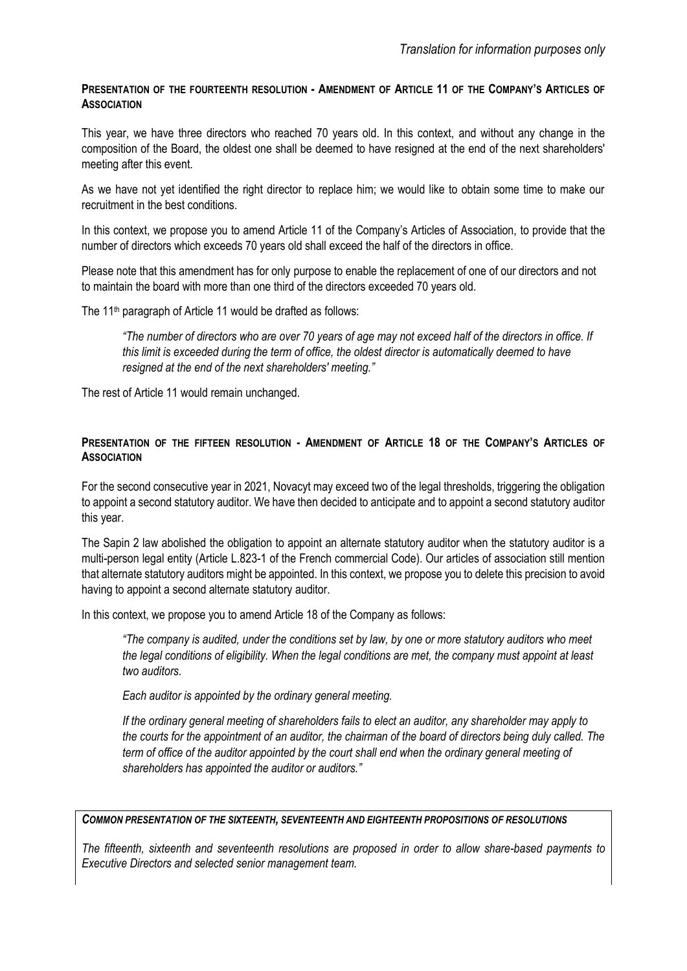## **PRESENTATION OF THE FOURTEENTH RESOLUTION - AMENDMENT OF ARTICLE 11 OF THE COMPANY'S ARTICLES OF ASSOCIATION**

This year, we have three directors who reached 70 years old. In this context, and without any change in the composition of the Board, the oldest one shall be deemed to have resigned at the end of the next shareholders' meeting after this event.

As we have not yet identified the right director to replace him; we would like to obtain some time to make our recruitment in the best conditions.

In this context, we propose you to amend Article 11 of the Company's Articles of Association, to provide that the number of directors which exceeds 70 years old shall exceed the half of the directors in office.

Please note that this amendment has for only purpose to enable the replacement of one of our directors and not to maintain the board with more than one third of the directors exceeded 70 years old.

The 11<sup>th</sup> paragraph of Article 11 would be drafted as follows:

*"The number of directors who are over 70 years of age may not exceed half of the directors in office. If this limit is exceeded during the term of office, the oldest director is automatically deemed to have resigned at the end of the next shareholders' meeting."*

The rest of Article 11 would remain unchanged.

# **PRESENTATION OF THE FIFTEEN RESOLUTION - AMENDMENT OF ARTICLE 18 OF THE COMPANY'S ARTICLES OF ASSOCIATION**

For the second consecutive year in 2021, Novacyt may exceed two of the legal thresholds, triggering the obligation to appoint a second statutory auditor. We have then decided to anticipate and to appoint a second statutory auditor this year.

The Sapin 2 law abolished the obligation to appoint an alternate statutory auditor when the statutory auditor is a multi-person legal entity (Article L.823-1 of the French commercial Code). Our articles of association still mention that alternate statutory auditors might be appointed. In this context, we propose you to delete this precision to avoid having to appoint a second alternate statutory auditor.

In this context, we propose you to amend Article 18 of the Company as follows:

*"The company is audited, under the conditions set by law, by one or more statutory auditors who meet the legal conditions of eligibility. When the legal conditions are met, the company must appoint at least two auditors.*

*Each auditor is appointed by the ordinary general meeting.*

*If the ordinary general meeting of shareholders fails to elect an auditor, any shareholder may apply to the courts for the appointment of an auditor, the chairman of the board of directors being duly called. The term of office of the auditor appointed by the court shall end when the ordinary general meeting of shareholders has appointed the auditor or auditors."*

## *COMMON PRESENTATION OF THE SIXTEENTH, SEVENTEENTH AND EIGHTEENTH PROPOSITIONS OF RESOLUTIONS*

*The fifteenth, sixteenth and seventeenth resolutions are proposed in order to allow share-based payments to Executive Directors and selected senior management team.*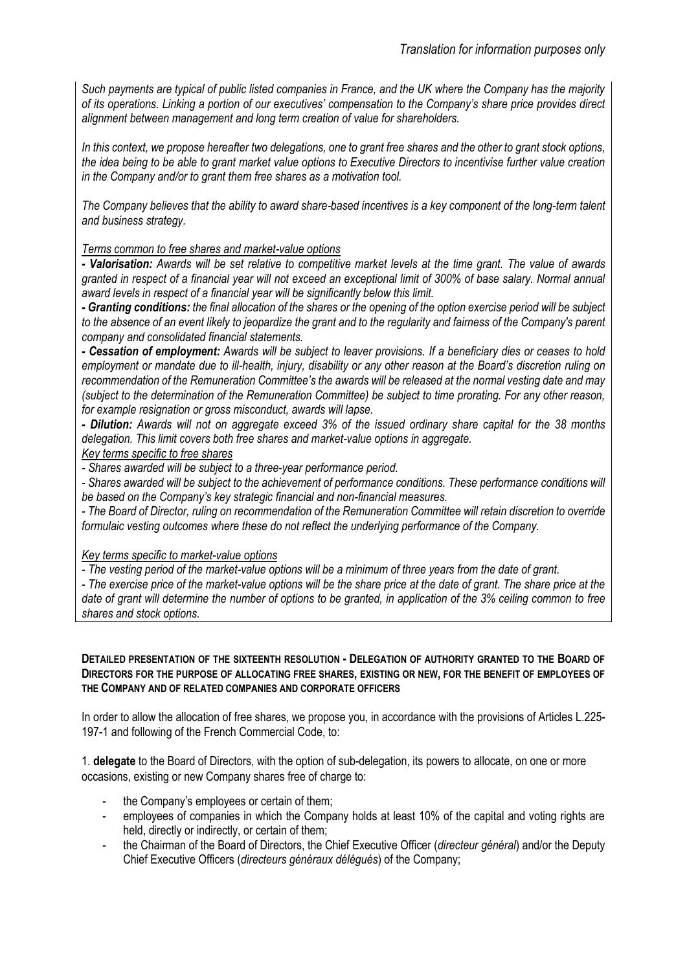*Such payments are typical of public listed companies in France, and the UK where the Company has the majority of its operations. Linking a portion of our executives' compensation to the Company's share price provides direct alignment between management and long term creation of value for shareholders.* 

*In this context, we propose hereafter two delegations, one to grant free shares and the other to grant stock options, the idea being to be able to grant market value options to Executive Directors to incentivise further value creation in the Company and/or to grant them free shares as a motivation tool.*

*The Company believes that the ability to award share-based incentives is a key component of the long-term talent and business strategy.*

## *Terms common to free shares and market-value options*

*- Valorisation: Awards will be set relative to competitive market levels at the time grant. The value of awards granted in respect of a financial year will not exceed an exceptional limit of 300% of base salary. Normal annual award levels in respect of a financial year will be significantly below this limit.*

*- Granting conditions: the final allocation of the shares or the opening of the option exercise period will be subject to the absence of an event likely to jeopardize the grant and to the regularity and fairness of the Company's parent company and consolidated financial statements.*

*- Cessation of employment: Awards will be subject to leaver provisions. If a beneficiary dies or ceases to hold employment or mandate due to ill-health, injury, disability or any other reason at the Board's discretion ruling on recommendation of the Remuneration Committee's the awards will be released at the normal vesting date and may (subject to the determination of the Remuneration Committee) be subject to time prorating. For any other reason, for example resignation or gross misconduct, awards will lapse.*

*- Dilution: Awards will not on aggregate exceed 3% of the issued ordinary share capital for the 38 months delegation. This limit covers both free shares and market-value options in aggregate.*

*Key terms specific to free shares*

*- Shares awarded will be subject to a three-year performance period.*

*- Shares awarded will be subject to the achievement of performance conditions. These performance conditions will be based on the Company's key strategic financial and non-financial measures.*

*- The Board of Director, ruling on recommendation of the Remuneration Committee will retain discretion to override formulaic vesting outcomes where these do not reflect the underlying performance of the Company.* 

*Key terms specific to market-value options*

*- The vesting period of the market-value options will be a minimum of three years from the date of grant.* 

*- The exercise price of the market-value options will be the share price at the date of grant. The share price at the date of grant will determine the number of options to be granted, in application of the 3% ceiling common to free shares and stock options.*

#### **DETAILED PRESENTATION OF THE SIXTEENTH RESOLUTION - DELEGATION OF AUTHORITY GRANTED TO THE BOARD OF DIRECTORS FOR THE PURPOSE OF ALLOCATING FREE SHARES, EXISTING OR NEW, FOR THE BENEFIT OF EMPLOYEES OF THE COMPANY AND OF RELATED COMPANIES AND CORPORATE OFFICERS**

In order to allow the allocation of free shares, we propose you, in accordance with the provisions of Articles L.225- 197-1 and following of the French Commercial Code, to:

1. **delegate** to the Board of Directors, with the option of sub-delegation, its powers to allocate, on one or more occasions, existing or new Company shares free of charge to:

- the Company's employees or certain of them;
- employees of companies in which the Company holds at least 10% of the capital and voting rights are held, directly or indirectly, or certain of them;
- the Chairman of the Board of Directors, the Chief Executive Officer (*directeur général*) and/or the Deputy Chief Executive Officers (*directeurs généraux délégués*) of the Company;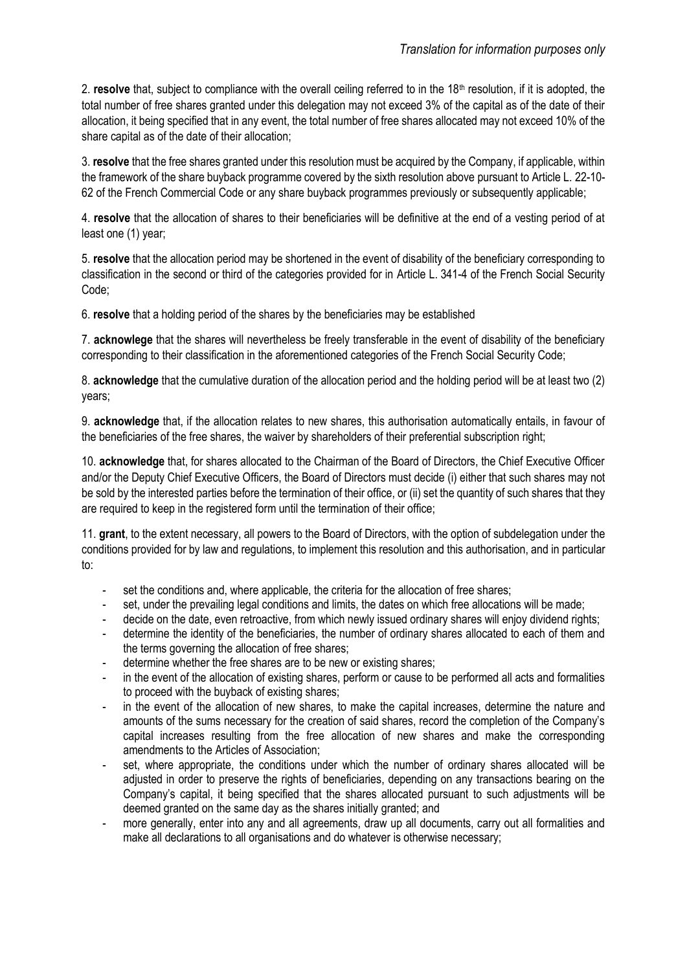2. **resolve** that, subject to compliance with the overall ceiling referred to in the 18<sup>th</sup> resolution, if it is adopted, the total number of free shares granted under this delegation may not exceed 3% of the capital as of the date of their allocation, it being specified that in any event, the total number of free shares allocated may not exceed 10% of the share capital as of the date of their allocation;

3. **resolve** that the free shares granted under this resolution must be acquired by the Company, if applicable, within the framework of the share buyback programme covered by the sixth resolution above pursuant to Article L. 22-10- 62 of the French Commercial Code or any share buyback programmes previously or subsequently applicable;

4. **resolve** that the allocation of shares to their beneficiaries will be definitive at the end of a vesting period of at least one (1) year;

5. **resolve** that the allocation period may be shortened in the event of disability of the beneficiary corresponding to classification in the second or third of the categories provided for in Article L. [341-4 of the French Social Security](https://www.legifrance.gouv.fr/affichCodeArticle.do?cidTexte=LEGITEXT000006073189&idArticle=LEGIARTI000006742597&dateTexte=&categorieLien=cid)  [Code;](https://www.legifrance.gouv.fr/affichCodeArticle.do?cidTexte=LEGITEXT000006073189&idArticle=LEGIARTI000006742597&dateTexte=&categorieLien=cid)

6. **resolve** that a holding period of the shares by the beneficiaries may be established

7. **acknowlege** that the shares will nevertheless be freely transferable in the event of disability of the beneficiary corresponding to their classification in the aforementioned categories of the French Social Security Code;

8. **acknowledge** that the cumulative duration of the allocation period and the holding period will be at least two (2) years;

9. **acknowledge** that, if the allocation relates to new shares, this authorisation automatically entails, in favour of the beneficiaries of the free shares, the waiver by shareholders of their preferential subscription right;

10. **acknowledge** that, for shares allocated to the Chairman of the Board of Directors, the Chief Executive Officer and/or the Deputy Chief Executive Officers, the Board of Directors must decide (i) either that such shares may not be sold by the interested parties before the termination of their office, or (ii) set the quantity of such shares that they are required to keep in the registered form until the termination of their office:

11. **grant**, to the extent necessary, all powers to the Board of Directors, with the option of subdelegation under the conditions provided for by law and regulations, to implement this resolution and this authorisation, and in particular to:

- set the conditions and, where applicable, the criteria for the allocation of free shares;
- set, under the prevailing legal conditions and limits, the dates on which free allocations will be made;
- decide on the date, even retroactive, from which newly issued ordinary shares will enjoy dividend rights;
- determine the identity of the beneficiaries, the number of ordinary shares allocated to each of them and the terms governing the allocation of free shares;
- determine whether the free shares are to be new or existing shares;
- in the event of the allocation of existing shares, perform or cause to be performed all acts and formalities to proceed with the buyback of existing shares;
- in the event of the allocation of new shares, to make the capital increases, determine the nature and amounts of the sums necessary for the creation of said shares, record the completion of the Company's capital increases resulting from the free allocation of new shares and make the corresponding amendments to the Articles of Association;
- set, where appropriate, the conditions under which the number of ordinary shares allocated will be adjusted in order to preserve the rights of beneficiaries, depending on any transactions bearing on the Company's capital, it being specified that the shares allocated pursuant to such adjustments will be deemed granted on the same day as the shares initially granted; and
- more generally, enter into any and all agreements, draw up all documents, carry out all formalities and make all declarations to all organisations and do whatever is otherwise necessary;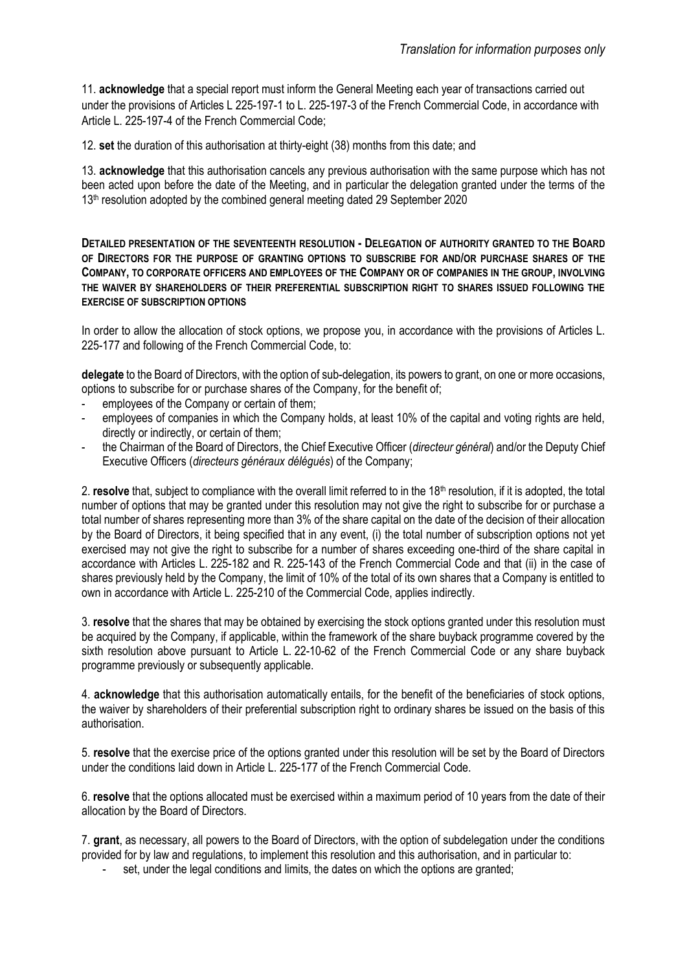11. **acknowledge** that a special report must inform the General Meeting each year of transactions carried out under the provisions of Articles L 225-197-1 to L. 225-197-3 of the French Commercial Code, in accordance with Article L. 225-197-4 of the French Commercial Code;

12. **set** the duration of this authorisation at thirty-eight (38) months from this date; and

13. **acknowledge** that this authorisation cancels any previous authorisation with the same purpose which has not been acted upon before the date of the Meeting, and in particular the delegation granted under the terms of the 13<sup>th</sup> resolution adopted by the combined general meeting dated 29 September 2020

**DETAILED PRESENTATION OF THE SEVENTEENTH RESOLUTION - DELEGATION OF AUTHORITY GRANTED TO THE BOARD OF DIRECTORS FOR THE PURPOSE OF GRANTING OPTIONS TO SUBSCRIBE FOR AND/OR PURCHASE SHARES OF THE COMPANY, TO CORPORATE OFFICERS AND EMPLOYEES OF THE COMPANY OR OF COMPANIES IN THE GROUP, INVOLVING THE WAIVER BY SHAREHOLDERS OF THEIR PREFERENTIAL SUBSCRIPTION RIGHT TO SHARES ISSUED FOLLOWING THE EXERCISE OF SUBSCRIPTION OPTIONS** 

In order to allow the allocation of stock options, we propose you, in accordance with the provisions of Articles L. 225-177 and following of the French Commercial Code, to:

**delegate** to the Board of Directors, with the option of sub-delegation, its powers to grant, on one or more occasions, options to subscribe for or purchase shares of the Company, for the benefit of;

- employees of the Company or certain of them;
- employees of companies in which the Company holds, at least 10% of the capital and voting rights are held, directly or indirectly, or certain of them;
- the Chairman of the Board of Directors, the Chief Executive Officer (*directeur général*) and/or the Deputy Chief Executive Officers (*directeurs généraux délégués*) of the Company;

2. **resolve** that, subject to compliance with the overall limit referred to in the 18<sup>th</sup> resolution, if it is adopted, the total number of options that may be granted under this resolution may not give the right to subscribe for or purchase a total number of shares representing more than 3% of the share capital on the date of the decision of their allocation by the Board of Directors, it being specified that in any event, (i) the total number of subscription options not yet exercised may not give the right to subscribe for a number of shares exceeding one-third of the share capital in accordance with Articles L. 225-182 and R. 225-143 of the French Commercial Code and that (ii) in the case of shares previously held by the Company, the limit of 10% of the total of its own shares that a Company is entitled to own in accordance with Article L. 225-210 of the Commercial Code, applies indirectly.

3. **resolve** that the shares that may be obtained by exercising the stock options granted under this resolution must be acquired by the Company, if applicable, within the framework of the share buyback programme covered by the sixth resolution above pursuant to Article L. 22-10-62 of the French Commercial Code or any share buyback programme previously or subsequently applicable.

4. **acknowledge** that this authorisation automatically entails, for the benefit of the beneficiaries of stock options, the waiver by shareholders of their preferential subscription right to ordinary shares be issued on the basis of this authorisation.

5. **resolve** that the exercise price of the options granted under this resolution will be set by the Board of Directors under the conditions laid down in Article L. 225-177 of the French Commercial Code.

6. **resolve** that the options allocated must be exercised within a maximum period of 10 years from the date of their allocation by the Board of Directors.

7. **grant**, as necessary, all powers to the Board of Directors, with the option of subdelegation under the conditions provided for by law and regulations, to implement this resolution and this authorisation, and in particular to:

set, under the legal conditions and limits, the dates on which the options are granted;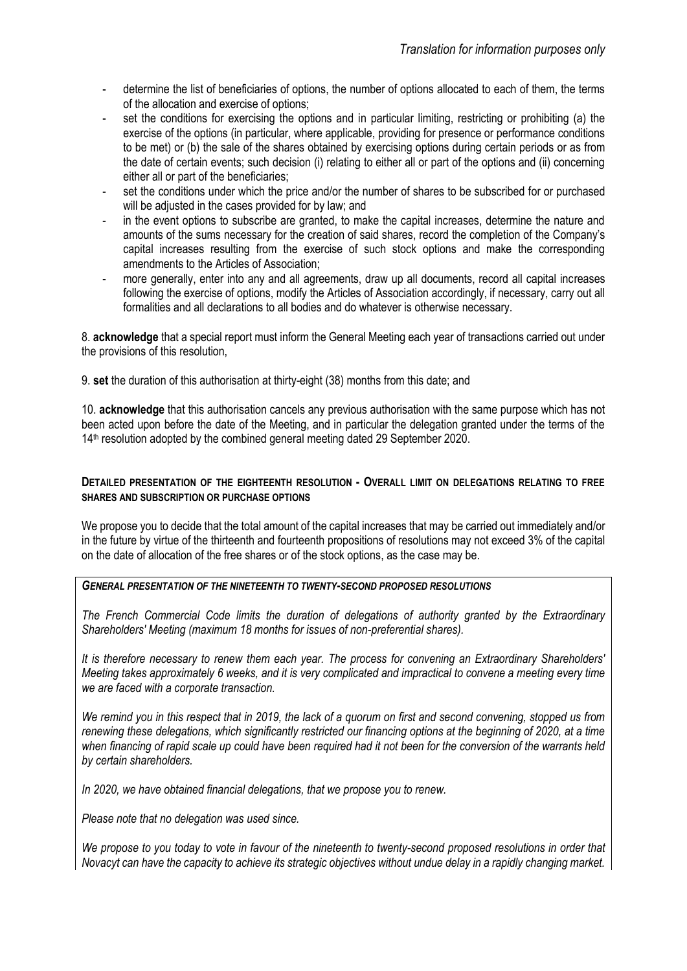- determine the list of beneficiaries of options, the number of options allocated to each of them, the terms of the allocation and exercise of options;
- set the conditions for exercising the options and in particular limiting, restricting or prohibiting (a) the exercise of the options (in particular, where applicable, providing for presence or performance conditions to be met) or (b) the sale of the shares obtained by exercising options during certain periods or as from the date of certain events; such decision (i) relating to either all or part of the options and (ii) concerning either all or part of the beneficiaries;
- set the conditions under which the price and/or the number of shares to be subscribed for or purchased will be adjusted in the cases provided for by law; and
- in the event options to subscribe are granted, to make the capital increases, determine the nature and amounts of the sums necessary for the creation of said shares, record the completion of the Company's capital increases resulting from the exercise of such stock options and make the corresponding amendments to the Articles of Association;
- more generally, enter into any and all agreements, draw up all documents, record all capital increases following the exercise of options, modify the Articles of Association accordingly, if necessary, carry out all formalities and all declarations to all bodies and do whatever is otherwise necessary.

8. **acknowledge** that a special report must inform the General Meeting each year of transactions carried out under the provisions of this resolution,

9. **set** the duration of this authorisation at thirty-eight (38) months from this date; and

10. **acknowledge** that this authorisation cancels any previous authorisation with the same purpose which has not been acted upon before the date of the Meeting, and in particular the delegation granted under the terms of the 14<sup>th</sup> resolution adopted by the combined general meeting dated 29 September 2020.

#### **DETAILED PRESENTATION OF THE EIGHTEENTH RESOLUTION - OVERALL LIMIT ON DELEGATIONS RELATING TO FREE SHARES AND SUBSCRIPTION OR PURCHASE OPTIONS**

We propose you to decide that the total amount of the capital increases that may be carried out immediately and/or in the future by virtue of the thirteenth and fourteenth propositions of resolutions may not exceed 3% of the capital on the date of allocation of the free shares or of the stock options, as the case may be.

#### *GENERAL PRESENTATION OF THE NINETEENTH TO TWENTY-SECOND PROPOSED RESOLUTIONS*

*The French Commercial Code limits the duration of delegations of authority granted by the Extraordinary Shareholders' Meeting (maximum 18 months for issues of non-preferential shares).* 

*It is therefore necessary to renew them each year. The process for convening an Extraordinary Shareholders' Meeting takes approximately 6 weeks, and it is very complicated and impractical to convene a meeting every time we are faced with a corporate transaction.*

*We remind you in this respect that in 2019, the lack of a quorum on first and second convening, stopped us from renewing these delegations, which significantly restricted our financing options at the beginning of 2020, at a time when financing of rapid scale up could have been required had it not been for the conversion of the warrants held by certain shareholders.* 

*In 2020, we have obtained financial delegations, that we propose you to renew.* 

*Please note that no delegation was used since.*

*We propose to you today to vote in favour of the nineteenth to twenty-second proposed resolutions in order that Novacyt can have the capacity to achieve its strategic objectives without undue delay in a rapidly changing market.*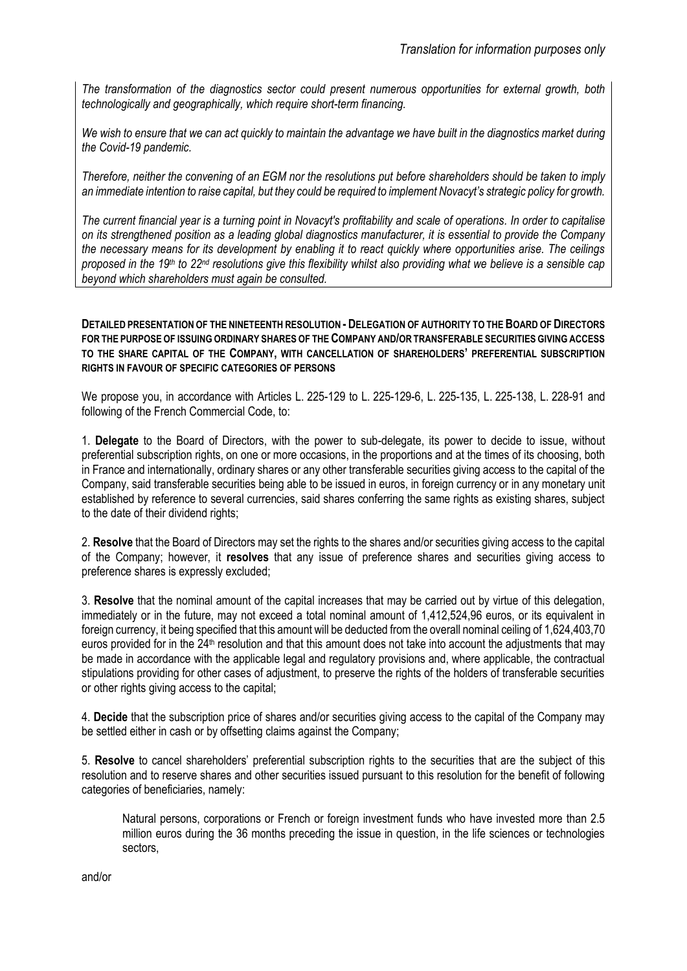*The transformation of the diagnostics sector could present numerous opportunities for external growth, both technologically and geographically, which require short-term financing.* 

*We wish to ensure that we can act quickly to maintain the advantage we have built in the diagnostics market during the Covid-19 pandemic.*

*Therefore, neither the convening of an EGM nor the resolutions put before shareholders should be taken to imply an immediate intention to raise capital, but they could be required to implement Novacyt's strategic policy for growth.* 

*The current financial year is a turning point in Novacyt's profitability and scale of operations. In order to capitalise on its strengthened position as a leading global diagnostics manufacturer, it is essential to provide the Company the necessary means for its development by enabling it to react quickly where opportunities arise. The ceilings*  proposed in the 19<sup>th</sup> to 22<sup>nd</sup> resolutions give this flexibility whilst also providing what we believe is a sensible cap *beyond which shareholders must again be consulted.*

**DETAILED PRESENTATION OF THE NINETEENTH RESOLUTION - DELEGATION OF AUTHORITY TO THE BOARD OF DIRECTORS FOR THE PURPOSE OF ISSUING ORDINARY SHARES OF THE COMPANY AND/OR TRANSFERABLE SECURITIES GIVING ACCESS TO THE SHARE CAPITAL OF THE COMPANY, WITH CANCELLATION OF SHAREHOLDERS' PREFERENTIAL SUBSCRIPTION RIGHTS IN FAVOUR OF SPECIFIC CATEGORIES OF PERSONS**

We propose you, in accordance with Articles L. 225-129 to L. 225-129-6, L. 225-135, L. 225-138, L. 228-91 and following of the French Commercial Code, to:

1. **Delegate** to the Board of Directors, with the power to sub-delegate, its power to decide to issue, without preferential subscription rights, on one or more occasions, in the proportions and at the times of its choosing, both in France and internationally, ordinary shares or any other transferable securities giving access to the capital of the Company, said transferable securities being able to be issued in euros, in foreign currency or in any monetary unit established by reference to several currencies, said shares conferring the same rights as existing shares, subject to the date of their dividend rights;

2. **Resolve** that the Board of Directors may set the rights to the shares and/or securities giving access to the capital of the Company; however, it **resolves** that any issue of preference shares and securities giving access to preference shares is expressly excluded;

3. **Resolve** that the nominal amount of the capital increases that may be carried out by virtue of this delegation, immediately or in the future, may not exceed a total nominal amount of 1,412,524,96 euros, or its equivalent in foreign currency, it being specified that this amount will be deducted from the overall nominal ceiling of 1,624,403,70 euros provided for in the 24<sup>th</sup> resolution and that this amount does not take into account the adjustments that may be made in accordance with the applicable legal and regulatory provisions and, where applicable, the contractual stipulations providing for other cases of adjustment, to preserve the rights of the holders of transferable securities or other rights giving access to the capital;

4. **Decide** that the subscription price of shares and/or securities giving access to the capital of the Company may be settled either in cash or by offsetting claims against the Company;

5. **Resolve** to cancel shareholders' preferential subscription rights to the securities that are the subject of this resolution and to reserve shares and other securities issued pursuant to this resolution for the benefit of following categories of beneficiaries, namely:

Natural persons, corporations or French or foreign investment funds who have invested more than 2.5 million euros during the 36 months preceding the issue in question, in the life sciences or technologies sectors,

and/or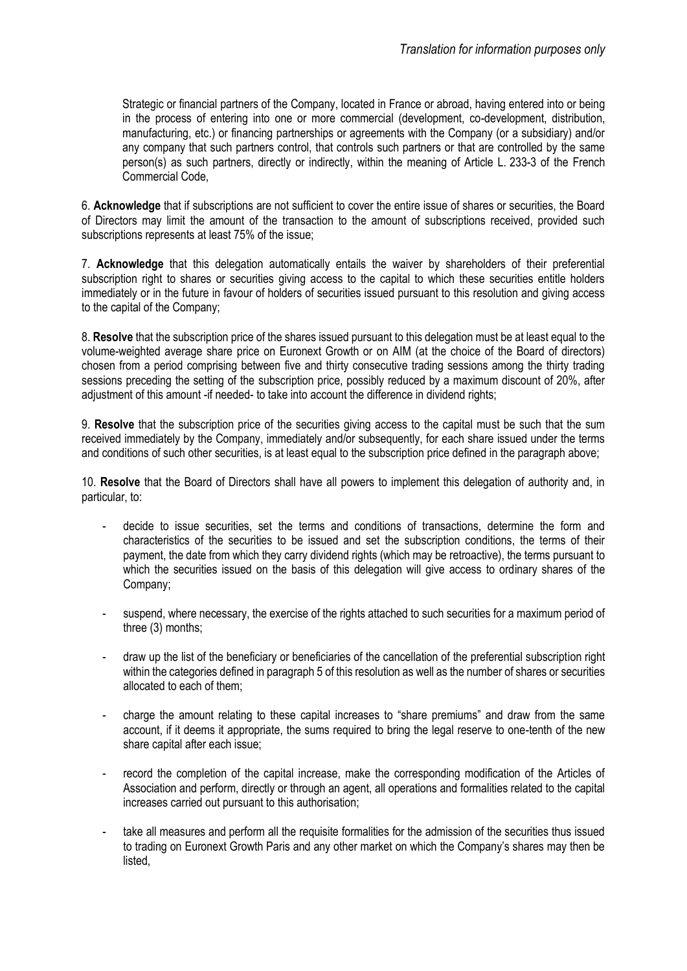Strategic or financial partners of the Company, located in France or abroad, having entered into or being in the process of entering into one or more commercial (development, co-development, distribution, manufacturing, etc.) or financing partnerships or agreements with the Company (or a subsidiary) and/or any company that such partners control, that controls such partners or that are controlled by the same person(s) as such partners, directly or indirectly, within the meaning of Article L. 233-3 of the French Commercial Code,

6. **Acknowledge** that if subscriptions are not sufficient to cover the entire issue of shares or securities, the Board of Directors may limit the amount of the transaction to the amount of subscriptions received, provided such subscriptions represents at least 75% of the issue;

7. **Acknowledge** that this delegation automatically entails the waiver by shareholders of their preferential subscription right to shares or securities giving access to the capital to which these securities entitle holders immediately or in the future in favour of holders of securities issued pursuant to this resolution and giving access to the capital of the Company;

8. **Resolve** that the subscription price of the shares issued pursuant to this delegation must be at least equal to the volume-weighted average share price on Euronext Growth or on AIM (at the choice of the Board of directors) chosen from a period comprising between five and thirty consecutive trading sessions among the thirty trading sessions preceding the setting of the subscription price, possibly reduced by a maximum discount of 20%, after adjustment of this amount -if needed- to take into account the difference in dividend rights;

9. **Resolve** that the subscription price of the securities giving access to the capital must be such that the sum received immediately by the Company, immediately and/or subsequently, for each share issued under the terms and conditions of such other securities, is at least equal to the subscription price defined in the paragraph above;

10. **Resolve** that the Board of Directors shall have all powers to implement this delegation of authority and, in particular, to:

- decide to issue securities, set the terms and conditions of transactions, determine the form and characteristics of the securities to be issued and set the subscription conditions, the terms of their payment, the date from which they carry dividend rights (which may be retroactive), the terms pursuant to which the securities issued on the basis of this delegation will give access to ordinary shares of the Company;
- suspend, where necessary, the exercise of the rights attached to such securities for a maximum period of three (3) months;
- draw up the list of the beneficiary or beneficiaries of the cancellation of the preferential subscription right within the categories defined in paragraph 5 of this resolution as well as the number of shares or securities allocated to each of them;
- charge the amount relating to these capital increases to "share premiums" and draw from the same account, if it deems it appropriate, the sums required to bring the legal reserve to one-tenth of the new share capital after each issue;
- record the completion of the capital increase, make the corresponding modification of the Articles of Association and perform, directly or through an agent, all operations and formalities related to the capital increases carried out pursuant to this authorisation;
- take all measures and perform all the requisite formalities for the admission of the securities thus issued to trading on Euronext Growth Paris and any other market on which the Company's shares may then be listed,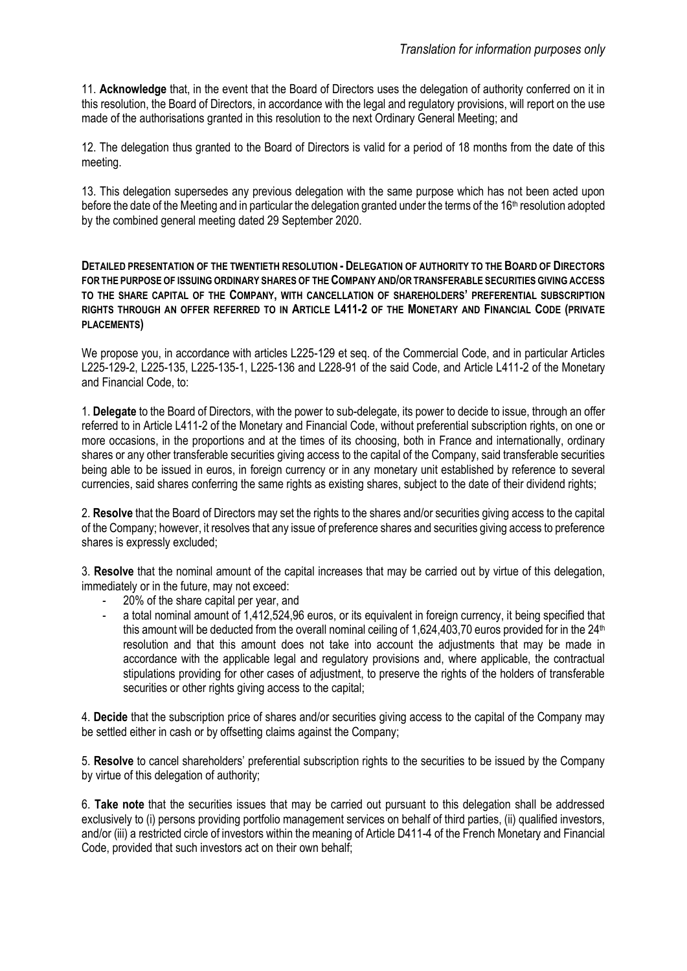11. **Acknowledge** that, in the event that the Board of Directors uses the delegation of authority conferred on it in this resolution, the Board of Directors, in accordance with the legal and regulatory provisions, will report on the use made of the authorisations granted in this resolution to the next Ordinary General Meeting; and

12. The delegation thus granted to the Board of Directors is valid for a period of 18 months from the date of this meeting.

13. This delegation supersedes any previous delegation with the same purpose which has not been acted upon before the date of the Meeting and in particular the delegation granted under the terms of the 16<sup>th</sup> resolution adopted by the combined general meeting dated 29 September 2020.

**DETAILED PRESENTATION OF THE TWENTIETH RESOLUTION - DELEGATION OF AUTHORITY TO THE BOARD OF DIRECTORS FOR THE PURPOSE OF ISSUING ORDINARY SHARES OF THE COMPANY AND/OR TRANSFERABLE SECURITIES GIVING ACCESS TO THE SHARE CAPITAL OF THE COMPANY, WITH CANCELLATION OF SHAREHOLDERS' PREFERENTIAL SUBSCRIPTION RIGHTS THROUGH AN OFFER REFERRED TO IN ARTICLE L411-2 OF THE MONETARY AND FINANCIAL CODE (PRIVATE PLACEMENTS)**

We propose you, in accordance with articles L225-129 et seq. of the Commercial Code, and in particular Articles L225-129-2, L225-135, L225-135-1, L225-136 and L228-91 of the said Code, and Article L411-2 of the Monetary and Financial Code, to:

1. **Delegate** to the Board of Directors, with the power to sub-delegate, its power to decide to issue, through an offer referred to in Article L411-2 of the Monetary and Financial Code, without preferential subscription rights, on one or more occasions, in the proportions and at the times of its choosing, both in France and internationally, ordinary shares or any other transferable securities giving access to the capital of the Company, said transferable securities being able to be issued in euros, in foreign currency or in any monetary unit established by reference to several currencies, said shares conferring the same rights as existing shares, subject to the date of their dividend rights;

2. **Resolve** that the Board of Directors may set the rights to the shares and/or securities giving access to the capital of the Company; however, it resolves that any issue of preference shares and securities giving access to preference shares is expressly excluded;

3. **Resolve** that the nominal amount of the capital increases that may be carried out by virtue of this delegation, immediately or in the future, may not exceed:

- 20% of the share capital per year, and
- a total nominal amount of 1,412,524,96 euros, or its equivalent in foreign currency, it being specified that this amount will be deducted from the overall nominal ceiling of 1,624,403,70 euros provided for in the 24<sup>th</sup> resolution and that this amount does not take into account the adjustments that may be made in accordance with the applicable legal and regulatory provisions and, where applicable, the contractual stipulations providing for other cases of adjustment, to preserve the rights of the holders of transferable securities or other rights giving access to the capital;

4. **Decide** that the subscription price of shares and/or securities giving access to the capital of the Company may be settled either in cash or by offsetting claims against the Company;

5. **Resolve** to cancel shareholders' preferential subscription rights to the securities to be issued by the Company by virtue of this delegation of authority;

6. **Take note** that the securities issues that may be carried out pursuant to this delegation shall be addressed exclusively to (i) persons providing portfolio management services on behalf of third parties, (ii) qualified investors, and/or (iii) a restricted circle of investors within the meaning of Article D411-4 of the French Monetary and Financial Code, provided that such investors act on their own behalf;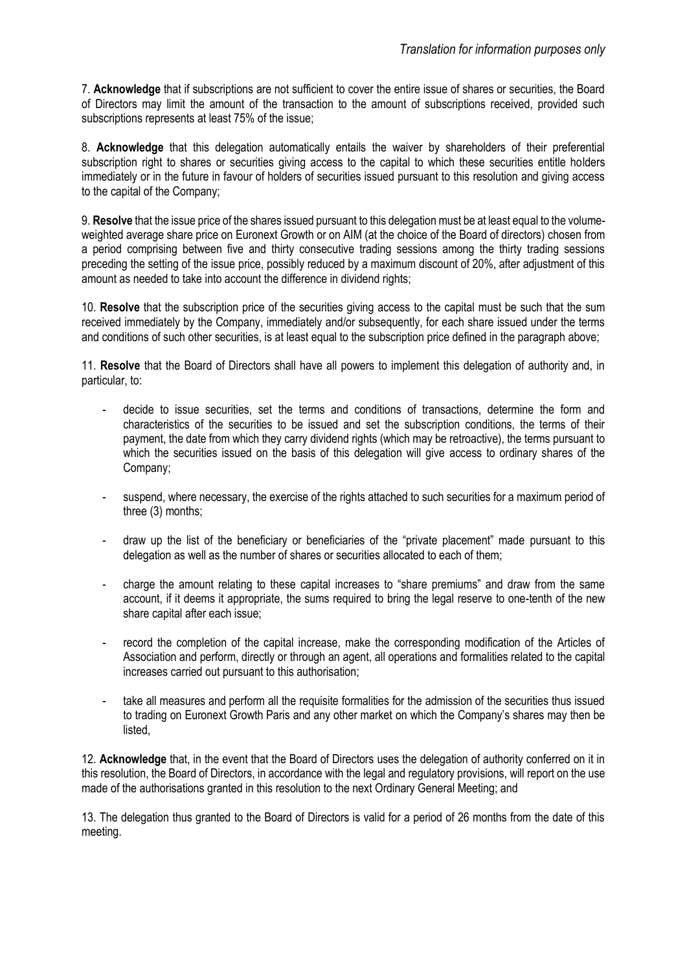7. **Acknowledge** that if subscriptions are not sufficient to cover the entire issue of shares or securities, the Board of Directors may limit the amount of the transaction to the amount of subscriptions received, provided such subscriptions represents at least 75% of the issue;

8. **Acknowledge** that this delegation automatically entails the waiver by shareholders of their preferential subscription right to shares or securities giving access to the capital to which these securities entitle holders immediately or in the future in favour of holders of securities issued pursuant to this resolution and giving access to the capital of the Company;

9. **Resolve** that the issue price of the shares issued pursuant to this delegation must be at least equal to the volumeweighted average share price on Euronext Growth or on AIM (at the choice of the Board of directors) chosen from a period comprising between five and thirty consecutive trading sessions among the thirty trading sessions preceding the setting of the issue price, possibly reduced by a maximum discount of 20%, after adjustment of this amount as needed to take into account the difference in dividend rights;

10. **Resolve** that the subscription price of the securities giving access to the capital must be such that the sum received immediately by the Company, immediately and/or subsequently, for each share issued under the terms and conditions of such other securities, is at least equal to the subscription price defined in the paragraph above;

11. **Resolve** that the Board of Directors shall have all powers to implement this delegation of authority and, in particular, to:

- decide to issue securities, set the terms and conditions of transactions, determine the form and characteristics of the securities to be issued and set the subscription conditions, the terms of their payment, the date from which they carry dividend rights (which may be retroactive), the terms pursuant to which the securities issued on the basis of this delegation will give access to ordinary shares of the Company;
- suspend, where necessary, the exercise of the rights attached to such securities for a maximum period of three (3) months;
- draw up the list of the beneficiary or beneficiaries of the "private placement" made pursuant to this delegation as well as the number of shares or securities allocated to each of them;
- charge the amount relating to these capital increases to "share premiums" and draw from the same account, if it deems it appropriate, the sums required to bring the legal reserve to one-tenth of the new share capital after each issue;
- record the completion of the capital increase, make the corresponding modification of the Articles of Association and perform, directly or through an agent, all operations and formalities related to the capital increases carried out pursuant to this authorisation;
- take all measures and perform all the requisite formalities for the admission of the securities thus issued to trading on Euronext Growth Paris and any other market on which the Company's shares may then be listed,

12. **Acknowledge** that, in the event that the Board of Directors uses the delegation of authority conferred on it in this resolution, the Board of Directors, in accordance with the legal and regulatory provisions, will report on the use made of the authorisations granted in this resolution to the next Ordinary General Meeting; and

13. The delegation thus granted to the Board of Directors is valid for a period of 26 months from the date of this meeting.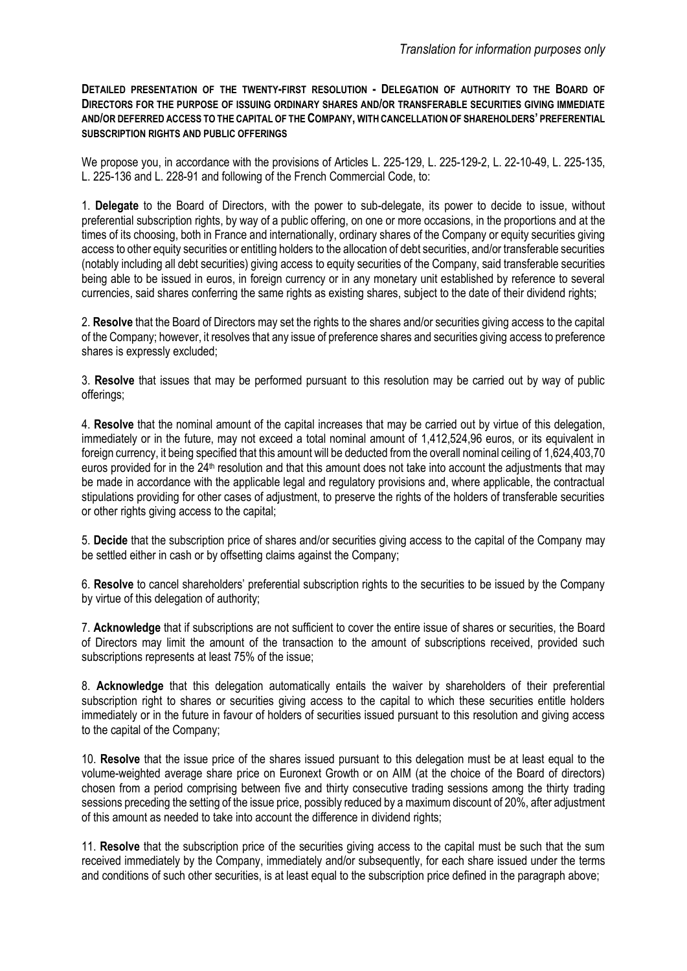**DETAILED PRESENTATION OF THE TWENTY-FIRST RESOLUTION - DELEGATION OF AUTHORITY TO THE BOARD OF DIRECTORS FOR THE PURPOSE OF ISSUING ORDINARY SHARES AND/OR TRANSFERABLE SECURITIES GIVING IMMEDIATE AND/OR DEFERRED ACCESS TO THE CAPITAL OF THE COMPANY, WITH CANCELLATION OF SHAREHOLDERS' PREFERENTIAL SUBSCRIPTION RIGHTS AND PUBLIC OFFERINGS**

We propose you, in accordance with the provisions of Articles L. 225-129, L. 225-129-2, L. 22-10-49, L. 225-135, L. 225-136 and L. 228-91 and following of the French Commercial Code, to:

1. **Delegate** to the Board of Directors, with the power to sub-delegate, its power to decide to issue, without preferential subscription rights, by way of a public offering, on one or more occasions, in the proportions and at the times of its choosing, both in France and internationally, ordinary shares of the Company or equity securities giving access to other equity securities or entitling holders to the allocation of debt securities, and/or transferable securities (notably including all debt securities) giving access to equity securities of the Company, said transferable securities being able to be issued in euros, in foreign currency or in any monetary unit established by reference to several currencies, said shares conferring the same rights as existing shares, subject to the date of their dividend rights;

2. **Resolve** that the Board of Directors may set the rights to the shares and/or securities giving access to the capital of the Company; however, it resolves that any issue of preference shares and securities giving access to preference shares is expressly excluded;

3. **Resolve** that issues that may be performed pursuant to this resolution may be carried out by way of public offerings;

4. **Resolve** that the nominal amount of the capital increases that may be carried out by virtue of this delegation, immediately or in the future, may not exceed a total nominal amount of 1,412,524,96 euros, or its equivalent in foreign currency, it being specified that this amount will be deducted from the overall nominal ceiling of 1,624,403,70 euros provided for in the 24<sup>th</sup> resolution and that this amount does not take into account the adjustments that may be made in accordance with the applicable legal and regulatory provisions and, where applicable, the contractual stipulations providing for other cases of adjustment, to preserve the rights of the holders of transferable securities or other rights giving access to the capital;

5. **Decide** that the subscription price of shares and/or securities giving access to the capital of the Company may be settled either in cash or by offsetting claims against the Company;

6. **Resolve** to cancel shareholders' preferential subscription rights to the securities to be issued by the Company by virtue of this delegation of authority;

7. **Acknowledge** that if subscriptions are not sufficient to cover the entire issue of shares or securities, the Board of Directors may limit the amount of the transaction to the amount of subscriptions received, provided such subscriptions represents at least 75% of the issue;

8. **Acknowledge** that this delegation automatically entails the waiver by shareholders of their preferential subscription right to shares or securities giving access to the capital to which these securities entitle holders immediately or in the future in favour of holders of securities issued pursuant to this resolution and giving access to the capital of the Company;

10. **Resolve** that the issue price of the shares issued pursuant to this delegation must be at least equal to the volume-weighted average share price on Euronext Growth or on AIM (at the choice of the Board of directors) chosen from a period comprising between five and thirty consecutive trading sessions among the thirty trading sessions preceding the setting of the issue price, possibly reduced by a maximum discount of 20%, after adjustment of this amount as needed to take into account the difference in dividend rights;

11. **Resolve** that the subscription price of the securities giving access to the capital must be such that the sum received immediately by the Company, immediately and/or subsequently, for each share issued under the terms and conditions of such other securities, is at least equal to the subscription price defined in the paragraph above;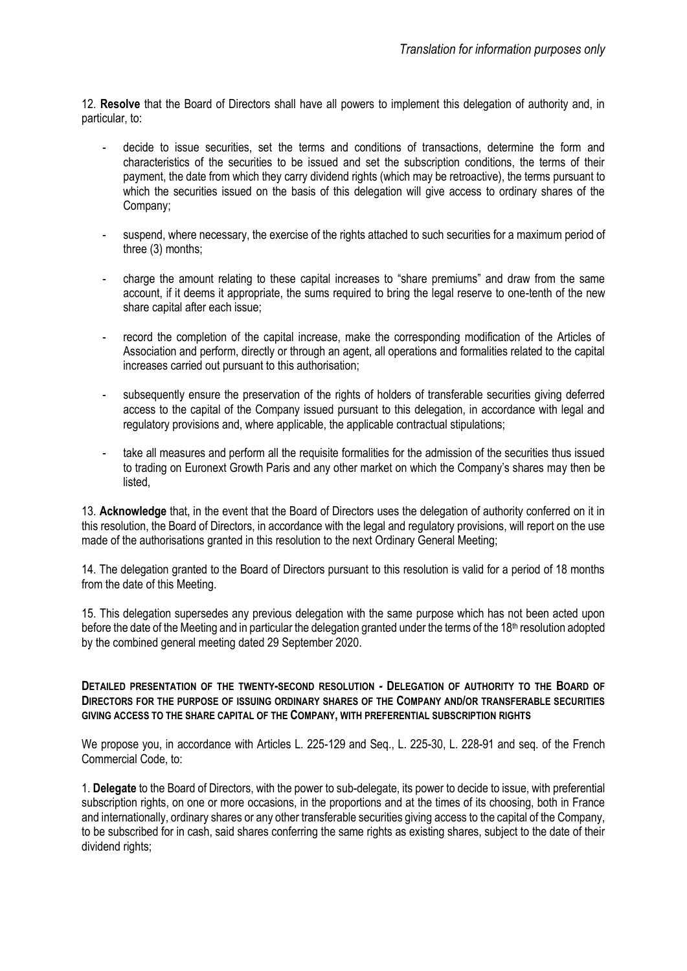12. **Resolve** that the Board of Directors shall have all powers to implement this delegation of authority and, in particular, to:

- decide to issue securities, set the terms and conditions of transactions, determine the form and characteristics of the securities to be issued and set the subscription conditions, the terms of their payment, the date from which they carry dividend rights (which may be retroactive), the terms pursuant to which the securities issued on the basis of this delegation will give access to ordinary shares of the Company;
- suspend, where necessary, the exercise of the rights attached to such securities for a maximum period of three (3) months;
- charge the amount relating to these capital increases to "share premiums" and draw from the same account, if it deems it appropriate, the sums required to bring the legal reserve to one-tenth of the new share capital after each issue;
- record the completion of the capital increase, make the corresponding modification of the Articles of Association and perform, directly or through an agent, all operations and formalities related to the capital increases carried out pursuant to this authorisation;
- subsequently ensure the preservation of the rights of holders of transferable securities giving deferred access to the capital of the Company issued pursuant to this delegation, in accordance with legal and regulatory provisions and, where applicable, the applicable contractual stipulations;
- take all measures and perform all the requisite formalities for the admission of the securities thus issued to trading on Euronext Growth Paris and any other market on which the Company's shares may then be listed,

13. **Acknowledge** that, in the event that the Board of Directors uses the delegation of authority conferred on it in this resolution, the Board of Directors, in accordance with the legal and regulatory provisions, will report on the use made of the authorisations granted in this resolution to the next Ordinary General Meeting;

14. The delegation granted to the Board of Directors pursuant to this resolution is valid for a period of 18 months from the date of this Meeting.

15. This delegation supersedes any previous delegation with the same purpose which has not been acted upon before the date of the Meeting and in particular the delegation granted under the terms of the 18th resolution adopted by the combined general meeting dated 29 September 2020.

#### **DETAILED PRESENTATION OF THE TWENTY-SECOND RESOLUTION** *-* **DELEGATION OF AUTHORITY TO THE BOARD OF DIRECTORS FOR THE PURPOSE OF ISSUING ORDINARY SHARES OF THE COMPANY AND/OR TRANSFERABLE SECURITIES GIVING ACCESS TO THE SHARE CAPITAL OF THE COMPANY, WITH PREFERENTIAL SUBSCRIPTION RIGHTS**

We propose you, in accordance with Articles L. 225-129 and Seq., L. 225-30, L. 228-91 and seq. of the French Commercial Code, to:

1. **Delegate** to the Board of Directors, with the power to sub-delegate, its power to decide to issue, with preferential subscription rights, on one or more occasions, in the proportions and at the times of its choosing, both in France and internationally, ordinary shares or any other transferable securities giving access to the capital of the Company, to be subscribed for in cash, said shares conferring the same rights as existing shares, subject to the date of their dividend rights;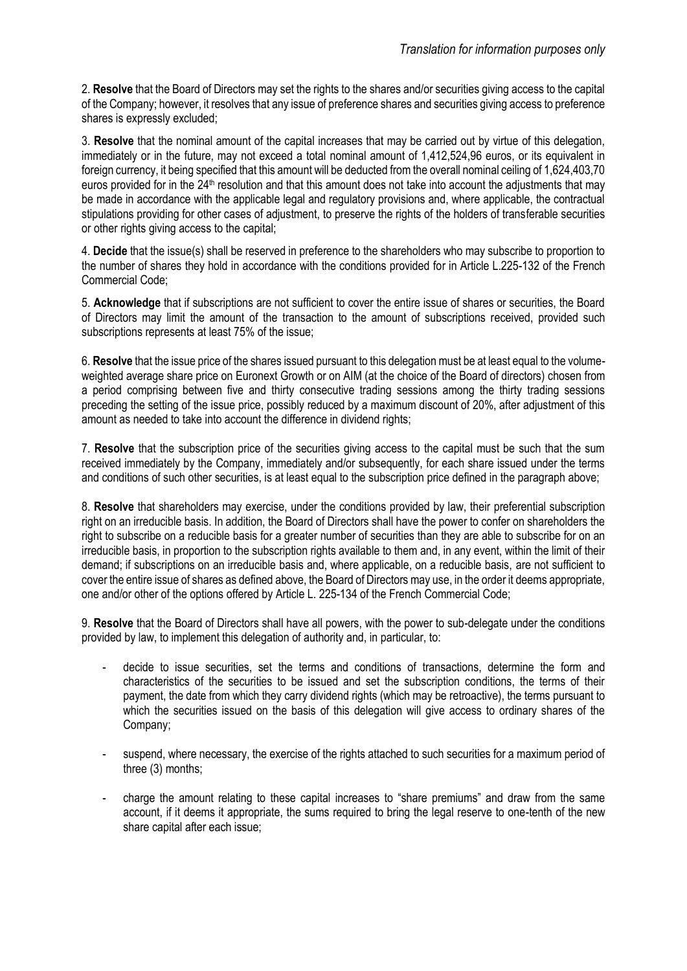2. **Resolve** that the Board of Directors may set the rights to the shares and/or securities giving access to the capital of the Company; however, it resolves that any issue of preference shares and securities giving access to preference shares is expressly excluded;

3. **Resolve** that the nominal amount of the capital increases that may be carried out by virtue of this delegation, immediately or in the future, may not exceed a total nominal amount of 1,412,524,96 euros, or its equivalent in foreign currency, it being specified that this amount will be deducted from the overall nominal ceiling of 1,624,403,70 euros provided for in the 24<sup>th</sup> resolution and that this amount does not take into account the adjustments that may be made in accordance with the applicable legal and regulatory provisions and, where applicable, the contractual stipulations providing for other cases of adjustment, to preserve the rights of the holders of transferable securities or other rights giving access to the capital:

4. **Decide** that the issue(s) shall be reserved in preference to the shareholders who may subscribe to proportion to the number of shares they hold in accordance with the conditions provided for in Article L.225-132 of the French Commercial Code;

5. **Acknowledge** that if subscriptions are not sufficient to cover the entire issue of shares or securities, the Board of Directors may limit the amount of the transaction to the amount of subscriptions received, provided such subscriptions represents at least 75% of the issue;

6. **Resolve** that the issue price of the shares issued pursuant to this delegation must be at least equal to the volumeweighted average share price on Euronext Growth or on AIM (at the choice of the Board of directors) chosen from a period comprising between five and thirty consecutive trading sessions among the thirty trading sessions preceding the setting of the issue price, possibly reduced by a maximum discount of 20%, after adjustment of this amount as needed to take into account the difference in dividend rights;

7. **Resolve** that the subscription price of the securities giving access to the capital must be such that the sum received immediately by the Company, immediately and/or subsequently, for each share issued under the terms and conditions of such other securities, is at least equal to the subscription price defined in the paragraph above;

8. **Resolve** that shareholders may exercise, under the conditions provided by law, their preferential subscription right on an irreducible basis. In addition, the Board of Directors shall have the power to confer on shareholders the right to subscribe on a reducible basis for a greater number of securities than they are able to subscribe for on an irreducible basis, in proportion to the subscription rights available to them and, in any event, within the limit of their demand; if subscriptions on an irreducible basis and, where applicable, on a reducible basis, are not sufficient to cover the entire issue of shares as defined above, the Board of Directors may use, in the order it deems appropriate, one and/or other of the options offered by Article L. 225-134 of the French Commercial Code;

9. **Resolve** that the Board of Directors shall have all powers, with the power to sub-delegate under the conditions provided by law, to implement this delegation of authority and, in particular, to:

- decide to issue securities, set the terms and conditions of transactions, determine the form and characteristics of the securities to be issued and set the subscription conditions, the terms of their payment, the date from which they carry dividend rights (which may be retroactive), the terms pursuant to which the securities issued on the basis of this delegation will give access to ordinary shares of the Company;
- suspend, where necessary, the exercise of the rights attached to such securities for a maximum period of three (3) months;
- charge the amount relating to these capital increases to "share premiums" and draw from the same account, if it deems it appropriate, the sums required to bring the legal reserve to one-tenth of the new share capital after each issue;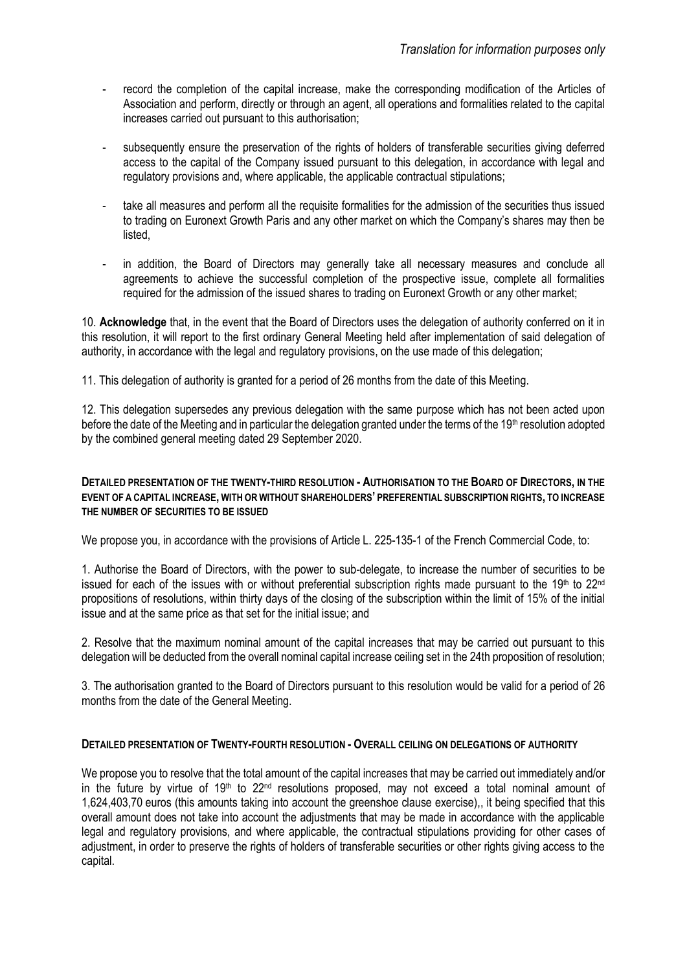- record the completion of the capital increase, make the corresponding modification of the Articles of Association and perform, directly or through an agent, all operations and formalities related to the capital increases carried out pursuant to this authorisation;
- subsequently ensure the preservation of the rights of holders of transferable securities giving deferred access to the capital of the Company issued pursuant to this delegation, in accordance with legal and regulatory provisions and, where applicable, the applicable contractual stipulations;
- take all measures and perform all the requisite formalities for the admission of the securities thus issued to trading on Euronext Growth Paris and any other market on which the Company's shares may then be listed,
- in addition, the Board of Directors may generally take all necessary measures and conclude all agreements to achieve the successful completion of the prospective issue, complete all formalities required for the admission of the issued shares to trading on Euronext Growth or any other market;

10. **Acknowledge** that, in the event that the Board of Directors uses the delegation of authority conferred on it in this resolution, it will report to the first ordinary General Meeting held after implementation of said delegation of authority, in accordance with the legal and regulatory provisions, on the use made of this delegation;

11. This delegation of authority is granted for a period of 26 months from the date of this Meeting.

12. This delegation supersedes any previous delegation with the same purpose which has not been acted upon before the date of the Meeting and in particular the delegation granted under the terms of the 19th resolution adopted by the combined general meeting dated 29 September 2020.

### **DETAILED PRESENTATION OF THE TWENTY-THIRD RESOLUTION - AUTHORISATION TO THE BOARD OF DIRECTORS, IN THE EVENT OF A CAPITAL INCREASE, WITH OR WITHOUT SHAREHOLDERS' PREFERENTIAL SUBSCRIPTION RIGHTS, TO INCREASE THE NUMBER OF SECURITIES TO BE ISSUED**

We propose you, in accordance with the provisions of Article L, 225-135-1 of the French Commercial Code, to:

1. Authorise the Board of Directors, with the power to sub-delegate, to increase the number of securities to be issued for each of the issues with or without preferential subscription rights made pursuant to the 19<sup>th</sup> to 22<sup>nd</sup> propositions of resolutions, within thirty days of the closing of the subscription within the limit of 15% of the initial issue and at the same price as that set for the initial issue; and

2. Resolve that the maximum nominal amount of the capital increases that may be carried out pursuant to this delegation will be deducted from the overall nominal capital increase ceiling set in the 24th proposition of resolution;

3. The authorisation granted to the Board of Directors pursuant to this resolution would be valid for a period of 26 months from the date of the General Meeting.

#### **DETAILED PRESENTATION OF TWENTY-FOURTH RESOLUTION - OVERALL CEILING ON DELEGATIONS OF AUTHORITY**

We propose you to resolve that the total amount of the capital increases that may be carried out immediately and/or in the future by virtue of 19<sup>th</sup> to 22<sup>nd</sup> resolutions proposed, may not exceed a total nominal amount of 1,624,403,70 euros (this amounts taking into account the greenshoe clause exercise),, it being specified that this overall amount does not take into account the adjustments that may be made in accordance with the applicable legal and regulatory provisions, and where applicable, the contractual stipulations providing for other cases of adjustment, in order to preserve the rights of holders of transferable securities or other rights giving access to the capital.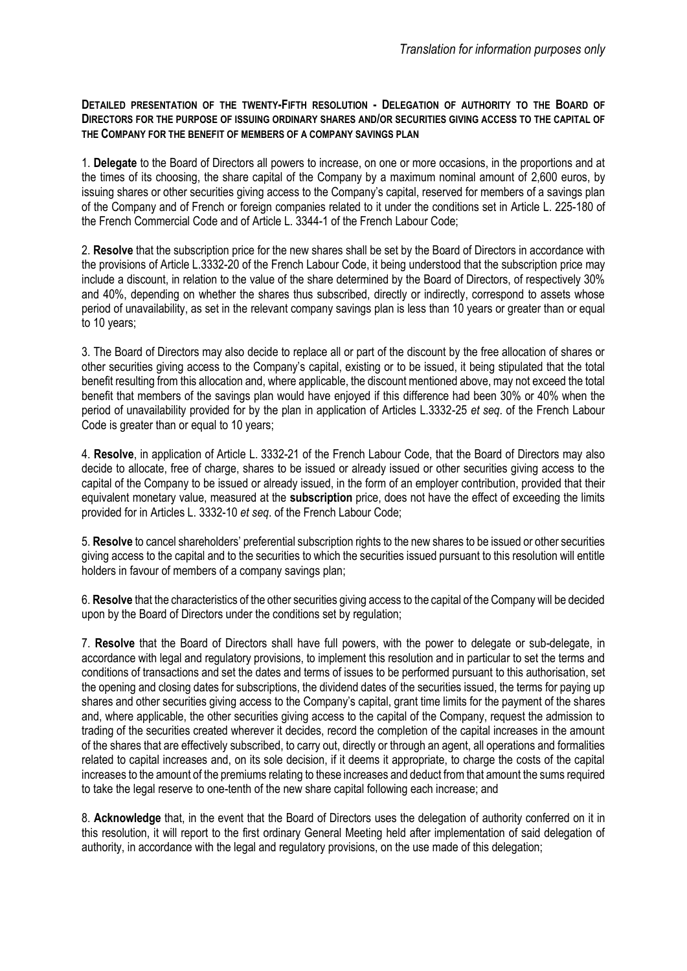**DETAILED PRESENTATION OF THE TWENTY-FIFTH RESOLUTION - DELEGATION OF AUTHORITY TO THE BOARD OF DIRECTORS FOR THE PURPOSE OF ISSUING ORDINARY SHARES AND/OR SECURITIES GIVING ACCESS TO THE CAPITAL OF THE COMPANY FOR THE BENEFIT OF MEMBERS OF A COMPANY SAVINGS PLAN**

1. **Delegate** to the Board of Directors all powers to increase, on one or more occasions, in the proportions and at the times of its choosing, the share capital of the Company by a maximum nominal amount of 2,600 euros, by issuing shares or other securities giving access to the Company's capital, reserved for members of a savings plan of the Company and of French or foreign companies related to it under the conditions set in Article L. 225-180 of the French Commercial Code and of Article L. 3344-1 of the French Labour Code;

2. **Resolve** that the subscription price for the new shares shall be set by the Board of Directors in accordance with the provisions of Article L.3332-20 of the French Labour Code, it being understood that the subscription price may include a discount, in relation to the value of the share determined by the Board of Directors, of respectively 30% and 40%, depending on whether the shares thus subscribed, directly or indirectly, correspond to assets whose period of unavailability, as set in the relevant company savings plan is less than 10 years or greater than or equal to 10 years;

3. The Board of Directors may also decide to replace all or part of the discount by the free allocation of shares or other securities giving access to the Company's capital, existing or to be issued, it being stipulated that the total benefit resulting from this allocation and, where applicable, the discount mentioned above, may not exceed the total benefit that members of the savings plan would have enjoyed if this difference had been 30% or 40% when the period of unavailability provided for by the plan in application of Articles L.3332-25 *et seq*. of the French Labour Code is greater than or equal to 10 years;

4. **Resolve**, in application of Article L. 3332-21 of the French Labour Code, that the Board of Directors may also decide to allocate, free of charge, shares to be issued or already issued or other securities giving access to the capital of the Company to be issued or already issued, in the form of an employer contribution, provided that their equivalent monetary value, measured at the **subscription** price, does not have the effect of exceeding the limits provided for in Articles L. 3332-10 *et seq*. of the French Labour Code;

5. **Resolve** to cancel shareholders' preferential subscription rights to the new shares to be issued or other securities giving access to the capital and to the securities to which the securities issued pursuant to this resolution will entitle holders in favour of members of a company savings plan;

6. **Resolve** that the characteristics of the other securities giving access to the capital of the Company will be decided upon by the Board of Directors under the conditions set by regulation;

7. **Resolve** that the Board of Directors shall have full powers, with the power to delegate or sub-delegate, in accordance with legal and regulatory provisions, to implement this resolution and in particular to set the terms and conditions of transactions and set the dates and terms of issues to be performed pursuant to this authorisation, set the opening and closing dates for subscriptions, the dividend dates of the securities issued, the terms for paying up shares and other securities giving access to the Company's capital, grant time limits for the payment of the shares and, where applicable, the other securities giving access to the capital of the Company, request the admission to trading of the securities created wherever it decides, record the completion of the capital increases in the amount of the shares that are effectively subscribed, to carry out, directly or through an agent, all operations and formalities related to capital increases and, on its sole decision, if it deems it appropriate, to charge the costs of the capital increases to the amount of the premiums relating to these increases and deduct from that amount the sums required to take the legal reserve to one-tenth of the new share capital following each increase; and

8. **Acknowledge** that, in the event that the Board of Directors uses the delegation of authority conferred on it in this resolution, it will report to the first ordinary General Meeting held after implementation of said delegation of authority, in accordance with the legal and regulatory provisions, on the use made of this delegation;